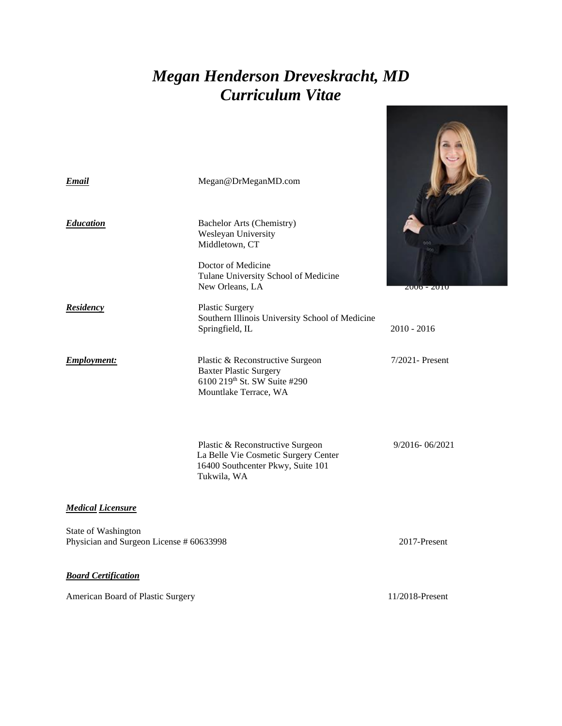# *Megan Henderson Dreveskracht, MD Curriculum Vitae*

| <b>Email</b>                                                    | Megan@DrMeganMD.com                                                                                                                                        |                 |  |  |  |
|-----------------------------------------------------------------|------------------------------------------------------------------------------------------------------------------------------------------------------------|-----------------|--|--|--|
| <b>Education</b>                                                | <b>Bachelor Arts (Chemistry)</b><br>Wesleyan University<br>Middletown, CT<br>Doctor of Medicine<br>Tulane University School of Medicine<br>New Orleans, LA | ZUU0 - ZUTU     |  |  |  |
| Residency                                                       | <b>Plastic Surgery</b><br>Southern Illinois University School of Medicine<br>Springfield, IL                                                               | $2010 - 2016$   |  |  |  |
| <b>Employment:</b>                                              | Plastic & Reconstructive Surgeon<br><b>Baxter Plastic Surgery</b><br>6100 219th St. SW Suite #290<br>Mountlake Terrace, WA                                 | 7/2021- Present |  |  |  |
|                                                                 | Plastic & Reconstructive Surgeon<br>La Belle Vie Cosmetic Surgery Center<br>16400 Southcenter Pkwy, Suite 101<br>Tukwila, WA                               | 9/2016-06/2021  |  |  |  |
| <b>Medical Licensure</b>                                        |                                                                                                                                                            |                 |  |  |  |
| State of Washington<br>Physician and Surgeon License # 60633998 | 2017-Present                                                                                                                                               |                 |  |  |  |
| <b>Board Certification</b>                                      |                                                                                                                                                            |                 |  |  |  |
| American Board of Plastic Surgery                               | 11/2018-Present                                                                                                                                            |                 |  |  |  |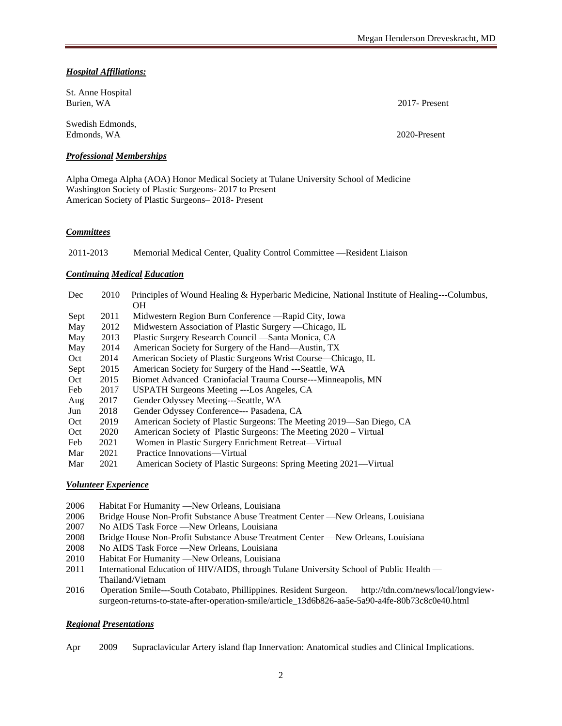*Hospital Affiliations:* 

| St. Anne Hospital<br>Burien, WA | 2017 - Present |
|---------------------------------|----------------|
| Swedish Edmonds.<br>Edmonds, WA | 2020-Present   |

### *Professional Memberships*

Alpha Omega Alpha (AOA) Honor Medical Society at Tulane University School of Medicine Washington Society of Plastic Surgeons- 2017 to Present American Society of Plastic Surgeons– 2018- Present

#### *Committees*

2011-2013 Memorial Medical Center, Quality Control Committee —Resident Liaison

#### *Continuing Medical Education*

| Dec  | 2010 | Principles of Wound Healing & Hyperbaric Medicine, National Institute of Healing---Columbus,<br><b>OH</b> |  |
|------|------|-----------------------------------------------------------------------------------------------------------|--|
| Sept | 2011 | Midwestern Region Burn Conference — Rapid City, Iowa                                                      |  |
| May  | 2012 | Midwestern Association of Plastic Surgery — Chicago, IL                                                   |  |
| May  | 2013 | Plastic Surgery Research Council — Santa Monica, CA                                                       |  |
| May  | 2014 | American Society for Surgery of the Hand—Austin, TX                                                       |  |
| Oct  | 2014 | American Society of Plastic Surgeons Wrist Course—Chicago, IL                                             |  |
| Sept | 2015 | American Society for Surgery of the Hand ---Seattle, WA                                                   |  |
| Oct  | 2015 | Biomet Advanced Craniofacial Trauma Course---Minneapolis, MN                                              |  |
| Feb  | 2017 | USPATH Surgeons Meeting ---Los Angeles, CA                                                                |  |
| Aug  | 2017 | Gender Odyssey Meeting---Seattle, WA                                                                      |  |
| Jun  | 2018 | Gender Odyssey Conference--- Pasadena, CA                                                                 |  |
| Oct  | 2019 | American Society of Plastic Surgeons: The Meeting 2019—San Diego, CA                                      |  |
| Oct  | 2020 | American Society of Plastic Surgeons: The Meeting 2020 – Virtual                                          |  |
| Feb  | 2021 | Women in Plastic Surgery Enrichment Retreat—Virtual                                                       |  |
| Mar  | 2021 | Practice Innovations—Virtual                                                                              |  |
| Mar  | 2021 | American Society of Plastic Surgeons: Spring Meeting 2021—Virtual                                         |  |

# *Volunteer Experience*

- 2006 Habitat For Humanity —New Orleans, Louisiana
- 2006 Bridge House Non-Profit Substance Abuse Treatment Center —New Orleans, Louisiana
- 2007 No AIDS Task Force —New Orleans, Louisiana
- 2008 Bridge House Non-Profit Substance Abuse Treatment Center —New Orleans, Louisiana
- 2008 No AIDS Task Force —New Orleans, Louisiana
- 2010 Habitat For Humanity —New Orleans, Louisiana
- 2011 International Education of HIV/AIDS, through Tulane University School of Public Health Thailand/Vietnam
- 2016 Operation Smile---South Cotabato, Phillippines. Resident Surgeon. http://tdn.com/news/local/longviewsurgeon-returns-to-state-after-operation-smile/article\_13d6b826-aa5e-5a90-a4fe-80b73c8c0e40.html

#### *Regional Presentations*

Apr 2009 Supraclavicular Artery island flap Innervation: Anatomical studies and Clinical Implications.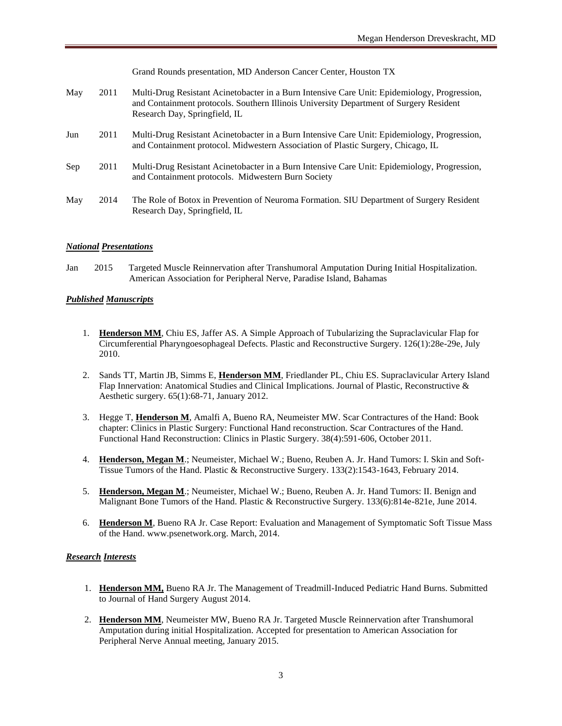Grand Rounds presentation, MD Anderson Cancer Center, Houston TX

- May 2011 Multi-Drug Resistant Acinetobacter in a Burn Intensive Care Unit: Epidemiology, Progression, and Containment protocols. Southern Illinois University Department of Surgery Resident Research Day, Springfield, IL
- Jun 2011 Multi-Drug Resistant Acinetobacter in a Burn Intensive Care Unit: Epidemiology, Progression, and Containment protocol. Midwestern Association of Plastic Surgery, Chicago, IL
- Sep 2011 Multi-Drug Resistant Acinetobacter in a Burn Intensive Care Unit: Epidemiology, Progression, and Containment protocols. Midwestern Burn Society
- May 2014 The Role of Botox in Prevention of Neuroma Formation. SIU Department of Surgery Resident Research Day, Springfield, IL

#### *National Presentations*

Jan 2015 Targeted Muscle Reinnervation after Transhumoral Amputation During Initial Hospitalization. American Association for Peripheral Nerve, Paradise Island, Bahamas

#### *Published Manuscripts*

- 1. **Henderson MM**, Chiu ES, Jaffer AS. A Simple Approach of Tubularizing the Supraclavicular Flap for Circumferential Pharyngoesophageal Defects. Plastic and Reconstructive Surgery. 126(1):28e-29e, July 2010.
- 2. Sands TT, Martin JB, Simms E, **Henderson MM**, Friedlander PL, Chiu ES. Supraclavicular Artery Island Flap Innervation: Anatomical Studies and Clinical Implications. Journal of Plastic, Reconstructive & Aesthetic surgery. 65(1):68-71, January 2012.
- 3. Hegge T, **Henderson M**, Amalfi A, Bueno RA, Neumeister MW. Scar Contractures of the Hand: Book chapter: Clinics in Plastic Surgery: Functional Hand reconstruction. Scar Contractures of the Hand. Functional Hand Reconstruction: Clinics in Plastic Surgery. 38(4):591-606, October 2011.
- 4. **Henderson, Megan M**.; Neumeister, Michael W.; Bueno, Reuben A. Jr. Hand Tumors: I. Skin and Soft-Tissue Tumors of the Hand. Plastic & Reconstructive Surgery. 133(2):1543-1643, February 2014.
- 5. **Henderson, Megan M**.; Neumeister, Michael W.; Bueno, Reuben A. Jr. Hand Tumors: II. Benign and Malignant Bone Tumors of the Hand. Plastic & Reconstructive Surgery. 133(6):814e-821e, June 2014.
- 6. **Henderson M**, Bueno RA Jr. Case Report: Evaluation and Management of Symptomatic Soft Tissue Mass of the Hand. www.psenetwork.org. March, 2014.

#### *Research Interests*

- 1. **Henderson MM,** Bueno RA Jr. The Management of Treadmill-Induced Pediatric Hand Burns. Submitted to Journal of Hand Surgery August 2014.
- 2. **Henderson MM**, Neumeister MW, Bueno RA Jr. Targeted Muscle Reinnervation after Transhumoral Amputation during initial Hospitalization. Accepted for presentation to American Association for Peripheral Nerve Annual meeting, January 2015.